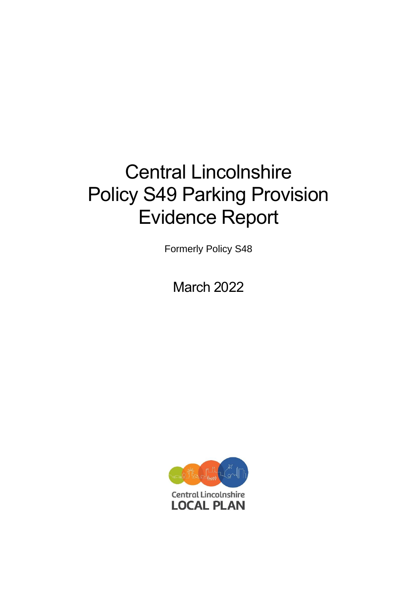# Central Lincolnshire Policy S49 Parking Provision Evidence Report

Formerly Policy S48

March 2022

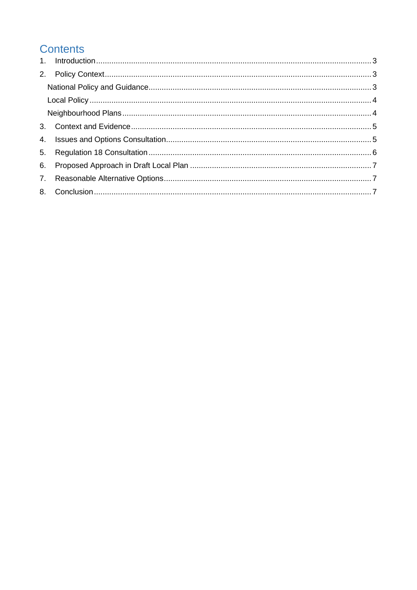# **Contents**

| 6. |  |
|----|--|
|    |  |
|    |  |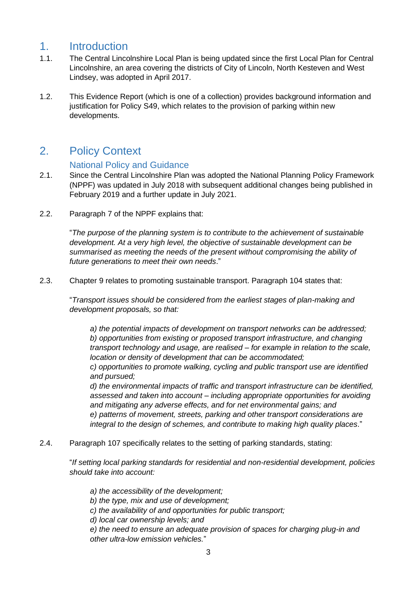### <span id="page-2-0"></span>1. Introduction

- 1.1. The Central Lincolnshire Local Plan is being updated since the first Local Plan for Central Lincolnshire, an area covering the districts of City of Lincoln, North Kesteven and West Lindsey, was adopted in April 2017.
- 1.2. This Evidence Report (which is one of a collection) provides background information and justification for Policy S49, which relates to the provision of parking within new developments.

## <span id="page-2-1"></span>2. Policy Context

#### National Policy and Guidance

- <span id="page-2-2"></span>2.1. Since the Central Lincolnshire Plan was adopted the National Planning Policy Framework (NPPF) was updated in July 2018 with subsequent additional changes being published in February 2019 and a further update in July 2021.
- 2.2. Paragraph 7 of the NPPF explains that:

"*The purpose of the planning system is to contribute to the achievement of sustainable development. At a very high level, the objective of sustainable development can be summarised as meeting the needs of the present without compromising the ability of future generations to meet their own needs*."

2.3. Chapter 9 relates to promoting sustainable transport. Paragraph 104 states that:

"*Transport issues should be considered from the earliest stages of plan-making and development proposals, so that:*

*a) the potential impacts of development on transport networks can be addressed; b) opportunities from existing or proposed transport infrastructure, and changing transport technology and usage, are realised – for example in relation to the scale, location or density of development that can be accommodated;*

*c) opportunities to promote walking, cycling and public transport use are identified and pursued;*

*d) the environmental impacts of traffic and transport infrastructure can be identified, assessed and taken into account – including appropriate opportunities for avoiding and mitigating any adverse effects, and for net environmental gains; and e) patterns of movement, streets, parking and other transport considerations are integral to the design of schemes, and contribute to making high quality places*."

2.4. Paragraph 107 specifically relates to the setting of parking standards, stating:

"*If setting local parking standards for residential and non-residential development, policies should take into account:*

*a) the accessibility of the development; b) the type, mix and use of development; c) the availability of and opportunities for public transport; d) local car ownership levels; and e) the need to ensure an adequate provision of spaces for charging plug-in and other ultra-low emission vehicles.*"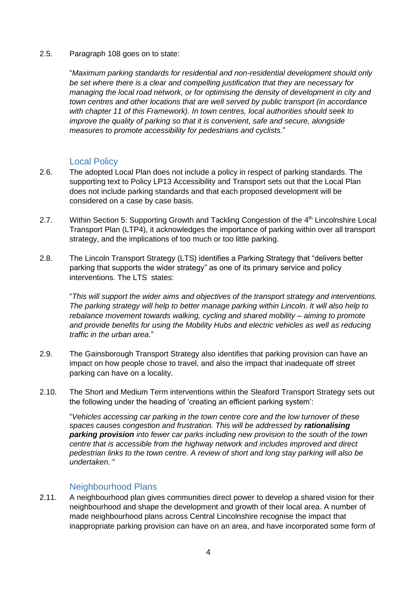#### 2.5. Paragraph 108 goes on to state:

"*Maximum parking standards for residential and non-residential development should only be set where there is a clear and compelling justification that they are necessary for managing the local road network, or for optimising the density of development in city and town centres and other locations that are well served by public transport (in accordance with chapter 11 of this Framework). In town centres, local authorities should seek to improve the quality of parking so that it is convenient, safe and secure, alongside measures to promote accessibility for pedestrians and cyclists*."

#### Local Policy

- <span id="page-3-0"></span>2.6. The adopted Local Plan does not include a policy in respect of parking standards. The supporting text to Policy LP13 Accessibility and Transport sets out that the Local Plan does not include parking standards and that each proposed development will be considered on a case by case basis.
- 2.7. Within Section 5: Supporting Growth and Tackling Congestion of the 4<sup>th</sup> Lincolnshire Local Transport Plan (LTP4), it acknowledges the importance of parking within over all transport strategy, and the implications of too much or too little parking.
- 2.8. The Lincoln Transport Strategy (LTS) identifies a Parking Strategy that "delivers better parking that supports the wider strategy" as one of its primary service and policy interventions. The LTS states:

"*This will support the wider aims and objectives of the transport strategy and interventions. The parking strategy will help to better manage parking within Lincoln. It will also help to rebalance movement towards walking, cycling and shared mobility – aiming to promote and provide benefits for using the Mobility Hubs and electric vehicles as well as reducing traffic in the urban area*."

- 2.9. The Gainsborough Transport Strategy also identifies that parking provision can have an impact on how people chose to travel, and also the impact that inadequate off street parking can have on a locality.
- 2.10. The Short and Medium Term interventions within the Sleaford Transport Strategy sets out the following under the heading of 'creating an efficient parking system':

"*Vehicles accessing car parking in the town centre core and the low turnover of these spaces causes congestion and frustration. This will be addressed by rationalising parking provision into fewer car parks including new provision to the south of the town centre that is accessible from the highway network and includes improved and direct pedestrian links to the town centre. A review of short and long stay parking will also be undertaken*. "

#### Neighbourhood Plans

<span id="page-3-1"></span>2.11. A neighbourhood plan gives communities direct power to develop a shared vision for their neighbourhood and shape the development and growth of their local area. A number of made neighbourhood plans across Central Lincolnshire recognise the impact that inappropriate parking provision can have on an area, and have incorporated some form of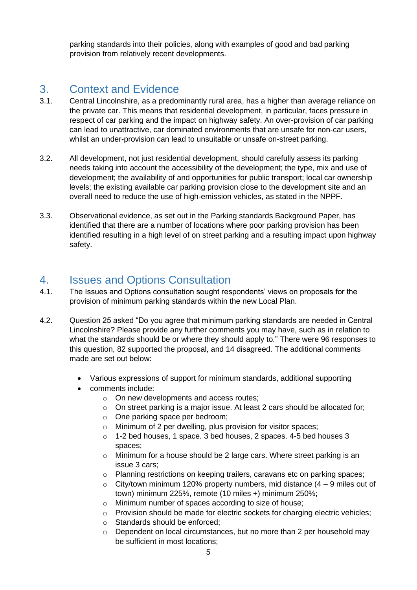parking standards into their policies, along with examples of good and bad parking provision from relatively recent developments.

## <span id="page-4-0"></span>3. Context and Evidence

- 3.1. Central Lincolnshire, as a predominantly rural area, has a higher than average reliance on the private car. This means that residential development, in particular, faces pressure in respect of car parking and the impact on highway safety. An over-provision of car parking can lead to unattractive, car dominated environments that are unsafe for non-car users, whilst an under-provision can lead to unsuitable or unsafe on-street parking.
- 3.2. All development, not just residential development, should carefully assess its parking needs taking into account the accessibility of the development; the type, mix and use of development; the availability of and opportunities for public transport; local car ownership levels; the existing available car parking provision close to the development site and an overall need to reduce the use of high-emission vehicles, as stated in the NPPF.
- 3.3. Observational evidence, as set out in the Parking standards Background Paper, has identified that there are a number of locations where poor parking provision has been identified resulting in a high level of on street parking and a resulting impact upon highway safety.

## <span id="page-4-1"></span>4. Issues and Options Consultation

- 4.1. The Issues and Options consultation sought respondents' views on proposals for the provision of minimum parking standards within the new Local Plan.
- 4.2. Question 25 asked "Do you agree that minimum parking standards are needed in Central Lincolnshire? Please provide any further comments you may have, such as in relation to what the standards should be or where they should apply to." There were 96 responses to this question, 82 supported the proposal, and 14 disagreed. The additional comments made are set out below:
	- Various expressions of support for minimum standards, additional supporting
	- comments include:
		- o On new developments and access routes;
		- o On street parking is a major issue. At least 2 cars should be allocated for;
		- o One parking space per bedroom;
		- o Minimum of 2 per dwelling, plus provision for visitor spaces;
		- o 1-2 bed houses, 1 space. 3 bed houses, 2 spaces. 4-5 bed houses 3 spaces;
		- o Minimum for a house should be 2 large cars. Where street parking is an issue 3 cars;
		- o Planning restrictions on keeping trailers, caravans etc on parking spaces;
		- $\circ$  City/town minimum 120% property numbers, mid distance (4 9 miles out of town) minimum 225%, remote (10 miles +) minimum 250%;
		- o Minimum number of spaces according to size of house;
		- $\circ$  Provision should be made for electric sockets for charging electric vehicles;
		- o Standards should be enforced;
		- o Dependent on local circumstances, but no more than 2 per household may be sufficient in most locations;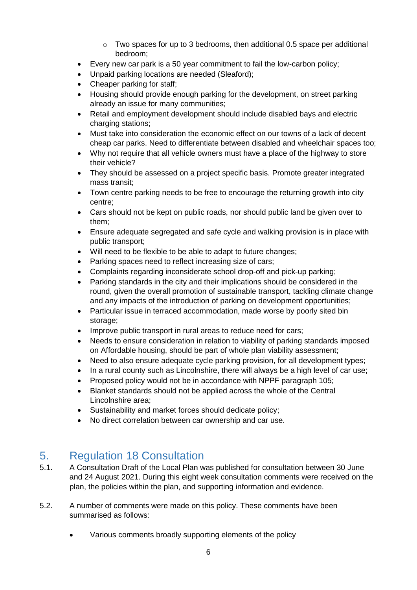- $\circ$  Two spaces for up to 3 bedrooms, then additional 0.5 space per additional bedroom;
- Every new car park is a 50 year commitment to fail the low-carbon policy;
- Unpaid parking locations are needed (Sleaford);
- Cheaper parking for staff;
- Housing should provide enough parking for the development, on street parking already an issue for many communities;
- Retail and employment development should include disabled bays and electric charging stations;
- Must take into consideration the economic effect on our towns of a lack of decent cheap car parks. Need to differentiate between disabled and wheelchair spaces too;
- Why not require that all vehicle owners must have a place of the highway to store their vehicle?
- They should be assessed on a project specific basis. Promote greater integrated mass transit;
- Town centre parking needs to be free to encourage the returning growth into city centre;
- Cars should not be kept on public roads, nor should public land be given over to them;
- Ensure adequate segregated and safe cycle and walking provision is in place with public transport;
- Will need to be flexible to be able to adapt to future changes;
- Parking spaces need to reflect increasing size of cars;
- Complaints regarding inconsiderate school drop-off and pick-up parking;
- Parking standards in the city and their implications should be considered in the round, given the overall promotion of sustainable transport, tackling climate change and any impacts of the introduction of parking on development opportunities;
- Particular issue in terraced accommodation, made worse by poorly sited bin storage;
- Improve public transport in rural areas to reduce need for cars;
- Needs to ensure consideration in relation to viability of parking standards imposed on Affordable housing, should be part of whole plan viability assessment;
- Need to also ensure adequate cycle parking provision, for all development types;
- In a rural county such as Lincolnshire, there will always be a high level of car use;
- Proposed policy would not be in accordance with NPPF paragraph 105;
- Blanket standards should not be applied across the whole of the Central Lincolnshire area;
- Sustainability and market forces should dedicate policy;
- No direct correlation between car ownership and car use.

## <span id="page-5-0"></span>5. Regulation 18 Consultation

- 5.1. A Consultation Draft of the Local Plan was published for consultation between 30 June and 24 August 2021. During this eight week consultation comments were received on the plan, the policies within the plan, and supporting information and evidence.
- 5.2. A number of comments were made on this policy. These comments have been summarised as follows:
	- Various comments broadly supporting elements of the policy